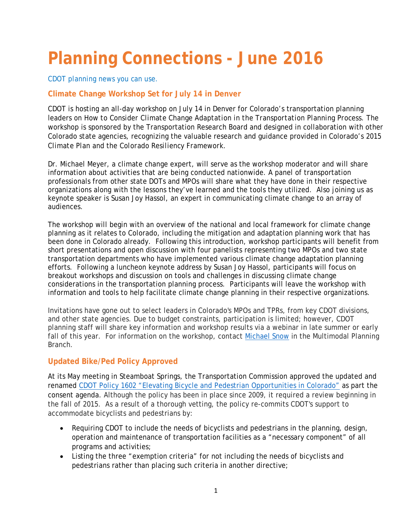# **Planning Connections - June 2016**

#### *CDOT planning news you can use.*

## **Climate Change Workshop Set for July 14 in Denver**

CDOT is hosting an all-day workshop on July 14 in Denver for Colorado's transportation planning leaders on *How to Consider Climate Change Adaptation in the Transportation Planning Process.* The workshop is sponsored by the Transportation Research Board and designed in collaboration with other Colorado state agencies, recognizing the valuable research and guidance provided in Colorado's *2015 Climate Plan* and the *Colorado Resiliency Framework*.

Dr. Michael Meyer, a climate change expert, will serve as the workshop moderator and will share information about activities that are being conducted nationwide. A panel of transportation professionals from other state DOTs and MPOs will share what they have done in their respective organizations along with the lessons they've learned and the tools they utilized. Also joining us as keynote speaker is Susan Joy Hassol, an expert in communicating climate change to an array of audiences.

The workshop will begin with an overview of the national and local framework for climate change planning as it relates to Colorado, including the mitigation and adaptation planning work that has been done in Colorado already. Following this introduction, workshop participants will benefit from short presentations and open discussion with four panelists representing two MPOs and two state transportation departments who have implemented various climate change adaptation planning efforts. Following a luncheon keynote address by Susan Joy Hassol, participants will focus on breakout workshops and discussion on tools and challenges in discussing climate change considerations in the transportation planning process. Participants will leave the workshop with information and tools to help facilitate climate change planning in their respective organizations.

Invitations have gone out to select leaders in Colorado's MPOs and TPRs, from key CDOT divisions, and other state agencies. Due to budget constraints, participation is limited; however, CDOT planning staff will share key information and workshop results via a webinar in late summer or early fall of this year. For information on the workshop, contact Michael Snow in the Multimodal Planning Branch.

#### **Updated Bike/Ped Policy Approved**

At its May meeting in Steamboat Springs, the Transportation Commission approved the updated and renamed CDOT Policy 1602 "Elevating Bicycle and Pedestrian Opportunities in Colorado" as part the consent agenda. Although the policy has been in place since 2009, it required a review beginning in the fall of 2015. As a result of a thorough vetting, the policy re-commits CDOT's support to accommodate bicyclists and pedestrians by:

- Requiring CDOT to include the needs of bicyclists and pedestrians in the planning, design, operation and maintenance of transportation facilities as a "necessary component" of all programs and activities;
- Listing the three "exemption criteria" for not including the needs of bicyclists and pedestrians rather than placing such criteria in another directive;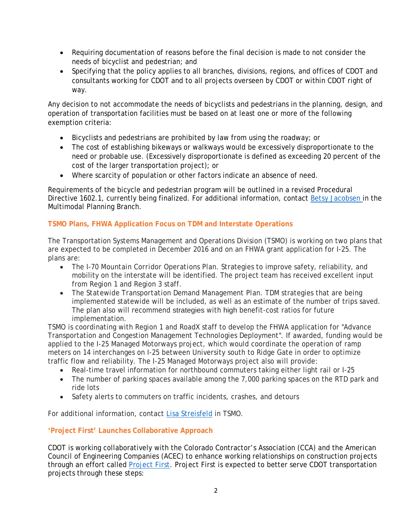- Requiring documentation of reasons *before* the final decision is made to not consider the needs of bicyclist and pedestrian; and
- Specifying that the policy applies to all branches, divisions, regions, and offices of CDOT and consultants working for CDOT and to all projects overseen by CDOT or within CDOT right of way.

Any decision to not accommodate the needs of bicyclists and pedestrians in the planning, design, and operation of transportation facilities must be based on at least one or more of the following exemption criteria:

- Bicyclists and pedestrians are prohibited by law from using the roadway; or
- The cost of establishing bikeways or walkways would be excessively disproportionate to the need or probable use. (Excessively disproportionate is defined as exceeding 20 percent of the cost of the larger transportation project); or
- Where scarcity of population or other factors indicate an absence of need.

Requirements of the bicycle and pedestrian program will be outlined in a revised Procedural Directive 1602.1, currently being finalized. For additional information, contact Betsy Jacobsen in the Multimodal Planning Branch.

# **TSMO Plans, FHWA Application Focus on TDM and Interstate Operations**

The Transportation Systems Management and Operations Division (TSMO) is working on two plans that are expected to be completed in December 2016 and on an FHWA grant application for I-25. The plans are:

- The *I-70 Mountain Corridor Operations Plan. S*trategies to improve safety, reliability, and mobility on the interstate will be identified. The project team has received excellent input from Region 1 and Region 3 staff.
- The *Statewide Transportation Demand Management Plan.* TDM strategies that are being implemented statewide will be included, as well as an estimate of the number of trips saved. The plan also will recommend strategies with high benefit-cost ratios for future implementation.

TSMO is coordinating with Region 1 and RoadX staff to develop the FHWA application for "Advance Transportation and Congestion Management Technologies Deployment". If awarded, funding would be applied to the I-25 Managed Motorways project, which would coordinate the operation of ramp meters on 14 interchanges on I-25 between University south to Ridge Gate in order to optimize traffic flow and reliability. The I-25 Managed Motorways project also will provide:

- Real-time travel information for northbound commuters taking either light rail or I-25
- The number of parking spaces available among the 7,000 parking spaces on the RTD park and ride lots
- Safety alerts to commuters on traffic incidents, crashes, and detours

For additional information, contact Lisa Streisfeld in TSMO.

# **'Project First' Launches Collaborative Approach**

CDOT is working collaboratively with the Colorado Contractor's Association (CCA) and the American Council of Engineering Companies (ACEC) to enhance working relationships on construction projects through an effort called Project First. Project First is expected to better serve CDOT transportation projects through these steps: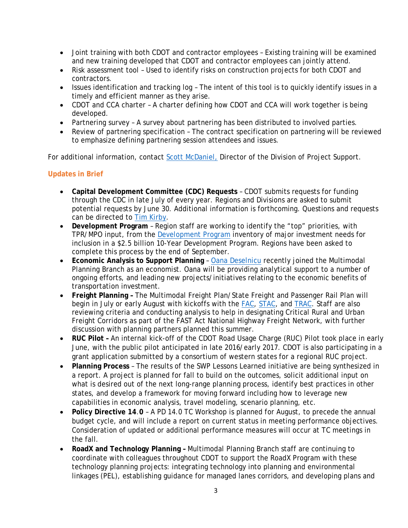- Joint training with both CDOT and contractor employees Existing training will be examined and new training developed that CDOT and contractor employees can jointly attend.
- Risk assessment tool Used to identify risks on construction projects for both CDOT and contractors.
- Issues identification and tracking log The intent of this tool is to quickly identify issues in a timely and efficient manner as they arise.
- CDOT and CCA charter A charter defining how CDOT and CCA will work together is being developed.
- Partnering survey A survey about partnering has been distributed to involved parties.
- Review of partnering specification The contract specification on partnering will be reviewed to emphasize defining partnering session attendees and issues.

For additional information, contact Scott McDaniel, Director of the Division of Project Support.

## **Updates in Brief**

- **Capital Development Committee (CDC) Requests**  CDOT submits requests for funding through the CDC in late July of every year. Regions and Divisions are asked to submit potential requests by June 30. Additional information is forthcoming. Questions and requests can be directed to Tim Kirby.
- **Development Program**  Region staff are working to identify the "top" priorities, with TPR/MPO input, from the Development Program inventory of major investment needs for inclusion in a \$2.5 billion 10-Year Development Program. Regions have been asked to complete this process by the end of September.
- **Economic Analysis to Support Planning**  Oana Deselnicu recently joined the Multimodal Planning Branch as an economist. Oana will be providing analytical support to a number of ongoing efforts, and leading new projects/initiatives relating to the economic benefits of transportation investment.
- **Freight Planning** The Multimodal Freight Plan/State Freight and Passenger Rail Plan will begin in July or early August with kickoffs with the FAC, STAC, and TRAC. Staff are also reviewing criteria and conducting analysis to help in designating Critical Rural and Urban Freight Corridors as part of the FAST Act National Highway Freight Network, with further discussion with planning partners planned this summer.
- **RUC Pilot** An internal kick-off of the CDOT Road Usage Charge (RUC) Pilot took place in early June, with the public pilot anticipated in late 2016/early 2017. CDOT is also participating in a grant application submitted by a consortium of western states for a regional RUC project.
- **Planning Process** The results of the SWP Lessons Learned initiative are being synthesized in a report. A project is planned for fall to build on the outcomes, solicit additional input on what is desired out of the next long-range planning process, identify best practices in other states, and develop a framework for moving forward including how to leverage new capabilities in economic analysis, travel modeling, scenario planning, etc.
- **Policy Directive 14**.**0** A PD 14.0 TC Workshop is planned for August, to precede the annual budget cycle, and will include a report on current status in meeting performance objectives. Consideration of updated or additional performance measures will occur at TC meetings in the fall.
- **RoadX and Technology Planning** Multimodal Planning Branch staff are continuing to coordinate with colleagues throughout CDOT to support the RoadX Program with these technology planning projects: integrating technology into planning and environmental linkages (PEL), establishing guidance for managed lanes corridors, and developing plans and